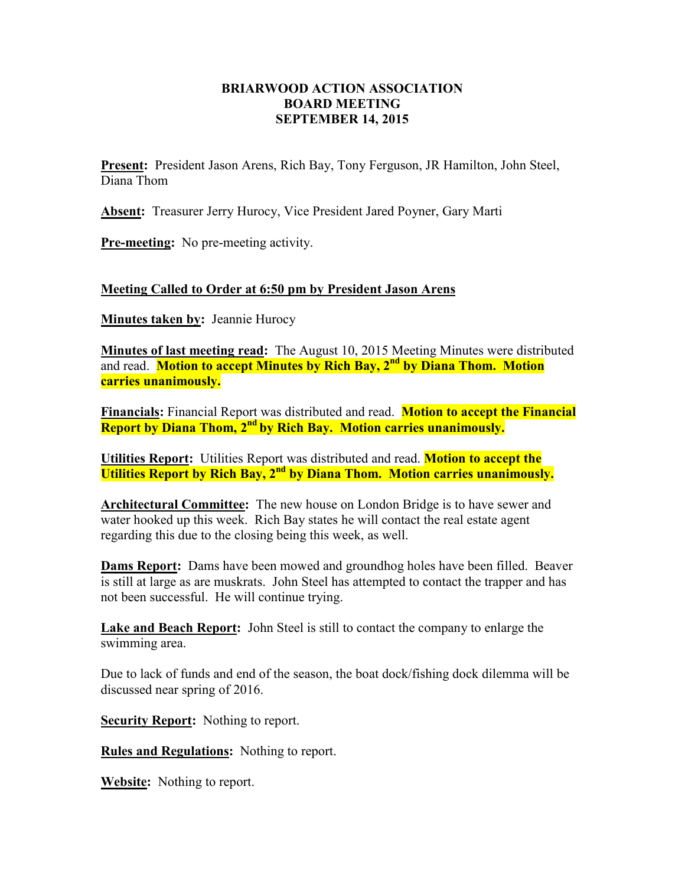## **BRIARWOOD ACTION ASSOCIATION BOARD MEETING SEPTEMBER 14, 2015**

**Present:** President Jason Arens, Rich Bay, Tony Ferguson, JR Hamilton, John Steel, Diana Thom

**Absent:** Treasurer Jerry Hurocy, Vice President Jared Poyner, Gary Marti

**Pre-meeting:** No pre-meeting activity.

## **Meeting Called to Order at 6:50 pm by President Jason Arens**

**Minutes taken by:** Jeannie Hurocy

**Minutes of last meeting read:** The August 10, 2015 Meeting Minutes were distributed and read. **Motion to accept Minutes by Rich Bay, 2nd by Diana Thom. Motion carries unanimously.** 

**Financials:** Financial Report was distributed and read. **Motion to accept the Financial Report by Diana Thom, 2nd by Rich Bay. Motion carries unanimously.** 

**Utilities Report:** Utilities Report was distributed and read. **Motion to accept the Utilities Report by Rich Bay, 2nd by Diana Thom. Motion carries unanimously.** 

**Architectural Committee:** The new house on London Bridge is to have sewer and water hooked up this week. Rich Bay states he will contact the real estate agent regarding this due to the closing being this week, as well.

**Dams Report:** Dams have been mowed and groundhog holes have been filled. Beaver is still at large as are muskrats. John Steel has attempted to contact the trapper and has not been successful. He will continue trying.

**Lake and Beach Report:** John Steel is still to contact the company to enlarge the swimming area.

Due to lack of funds and end of the season, the boat dock/fishing dock dilemma will be discussed near spring of 2016.

**Security Report:** Nothing to report.

**Rules and Regulations:** Nothing to report.

**Website:** Nothing to report.